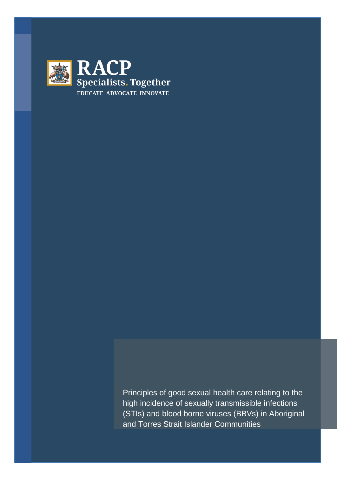

Principles of good sexual health care relating to the high incidence of sexually transmissible infections (STIs) and blood borne viruses (BBVs) in Aboriginal and Torres Strait Islander Communities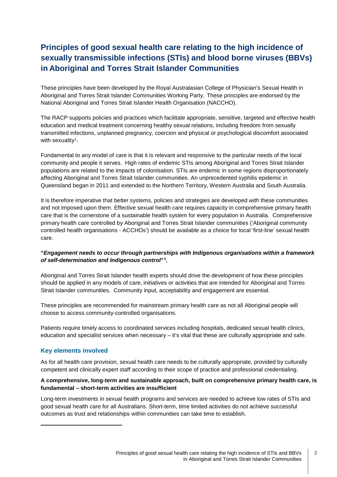# **Principles of good sexual health care relating to the high incidence of sexually transmissible infections (STIs) and blood borne viruses (BBVs) in Aboriginal and Torres Strait Islander Communities**

These principles have been developed by the Royal Australasian College of Physician's Sexual Health in Aboriginal and Torres Strait Islander Communities Working Party. These principles are endorsed by the National Aboriginal and Torres Strait Islander Health Organisation (NACCHO).

The RACP supports policies and practices which facilitate appropriate, sensitive, targeted and effective health education and medical treatment concerning healthy sexual relations, including freedom from sexually transmitted infections, unplanned pregnancy, coercion and physical or psychological discomfort associated with sexuality<sup>1</sup>.

Fundamental to any model of care is that it is relevant and responsive to the particular needs of the local community and people it serves. High rates of endemic STIs among Aboriginal and Torres Strait Islander populations are related to the impacts of colonisation. STIs are endemic in some regions disproportionately affecting Aboriginal and Torres Strait Islander communities. An unprecedented syphilis epidemic in Queensland began in 2011 and extended to the Northern Territory, Western Australia and South Australia.

It is therefore imperative that better systems, policies and strategies are developed *with* these communities and not imposed upon them. Effective sexual health care requires capacity in comprehensive primary health care that is the cornerstone of a sustainable health system for every population in Australia. Comprehensive primary health care controlled by Aboriginal and Torres Strait Islander communities ('Aboriginal community controlled health organisations - ACCHOs') should be available as a choice for local 'first-line' sexual health care.

#### **"***Engagement needs to occur through partnerships with Indigenous organisations within a framework of self-determination and Indigenous control***"[1](#page-1-0).**

Aboriginal and Torres Strait Islander health experts should drive the development of how these principles should be applied in any models of care, initiatives or activities that are intended for Aboriginal and Torres Strait Islander communities. Community input, acceptability and engagement are essential.

These principles are recommended for mainstream primary health care as not all Aboriginal people will choose to access community-controlled organisations.

Patients require timely access to coordinated services including hospitals, dedicated sexual health clinics, education and specialist services when necessary – it's vital that these are culturally appropriate and safe.

# **Key elements involved**

<span id="page-1-0"></span>i,

As for all health care provision, sexual health care needs to be culturally appropriate, provided by culturally competent and clinically expert staff according to their scope of practice and professional credentialing.

#### **A comprehensive, long-term and sustainable approach, built on comprehensive primary health care, is fundamental – short-term activities are insufficient**

Long-term investments in sexual health programs and services are needed to achieve low rates of STIs and good sexual health care for all Australians. Short-term, time limited activities do not achieve successful outcomes as trust and relationships within communities can take time to establish.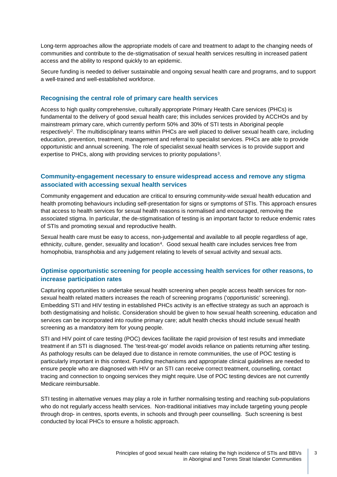Long-term approaches allow the appropriate models of care and treatment to adapt to the changing needs of communities and contribute to the de-stigmatisation of sexual health services resulting in increased patient access and the ability to respond quickly to an epidemic.

Secure funding is needed to deliver sustainable and ongoing sexual health care and programs, and to support a well-trained and well-established workforce.

#### **Recognising the central role of primary care health services**

Access to high quality comprehensive, culturally appropriate Primary Health Care services (PHCs) is fundamental to the delivery of good sexual health care; this includes services provided by ACCHOs and by mainstream primary care, which currently perform 50% and 30% of STI tests in Aboriginal people respectively[2.](#page-4-1) The multidisciplinary teams within PHCs are well placed to deliver sexual health care, including education, prevention, treatment, management and referral to specialist services. PHCs are able to provide opportunistic and annual screening. The role of specialist sexual health services is to provide support and expertise to PHCs, along with providing services to priority populations<sup>3</sup>.

# **Community-engagement necessary to ensure widespread access and remove any stigma associated with accessing sexual health services**

Community engagement and education are critical to ensuring community-wide sexual health education and health promoting behaviours including self-presentation for signs or symptoms of STIs. This approach ensures that access to health services for sexual health reasons is normalised and encouraged, removing the associated stigma. In particular, the de-stigmatisation of testing is an important factor to reduce endemic rates of STIs and promoting sexual and reproductive health.

Sexual health care must be easy to access, non-judgemental and available to all people regardless of age, ethnicity, culture, gender, sexuality and location[4](#page-4-3). Good sexual health care includes services free from homophobia, transphobia and any judgement relating to levels of sexual activity and sexual acts.

# **Optimise opportunistic screening for people accessing health services for other reasons, to increase participation rates**

Capturing opportunities to undertake sexual health screening when people access health services for nonsexual health related matters increases the reach of screening programs ('opportunistic' screening). Embedding STI and HIV testing in established PHCs activity is an effective strategy as such an approach is both destigmatising and holistic. Consideration should be given to how sexual health screening, education and services can be incorporated into routine primary care; adult health checks should include sexual health screening as a mandatory item for young people.

STI and HIV point of care testing (POC) devices facilitate the rapid provision of test results and immediate treatment if an STI is diagnosed. The 'test-treat-go' model avoids reliance on patients returning after testing. As pathology results can be delayed due to distance in remote communities, the use of POC testing is particularly important in this context. Funding mechanisms and appropriate clinical guidelines are needed to ensure people who are diagnosed with HIV or an STI can receive correct treatment, counselling, contact tracing and connection to ongoing services they might require. Use of POC testing devices are not currently Medicare reimbursable.

STI testing in alternative venues may play a role in further normalising testing and reaching sub-populations who do not regularly access health services. Non-traditional initiatives may include targeting young people through drop- in centres, sports events, in schools and through peer counselling. Such screening is best conducted by local PHCs to ensure a holistic approach.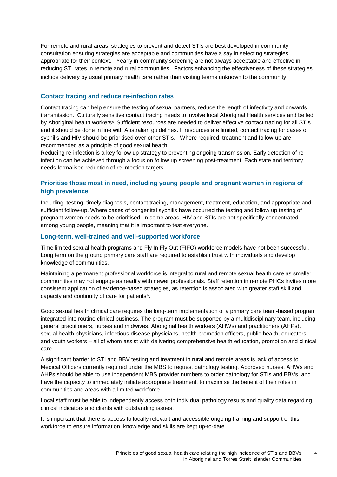For remote and rural areas, strategies to prevent and detect STIs are best developed in community consultation ensuring strategies are acceptable and communities have a say in selecting strategies appropriate for their context. Yearly in-community screening are not always acceptable and effective in reducing STI rates in remote and rural communities. Factors enhancing the effectiveness of these strategies include delivery by usual primary health care rather than visiting teams unknown to the community.

# **Contact tracing and reduce re-infection rates**

Contact tracing can help ensure the testing of sexual partners, reduce the length of infectivity and onwards transmission. Culturally sensitive contact tracing needs to involve local Aboriginal Health services and be led by Aboriginal health workers<sup>5</sup>. Sufficient resources are needed to deliver effective contact tracing for all STIs and it should be done in line with Australian guidelines. If resources are limited, contact tracing for cases of syphilis and HIV should be prioritised over other STIs. Where required, treatment and follow-up are recommended as a principle of good sexual health.

Reducing re-infection is a key follow up strategy to preventing ongoing transmission. Early detection of reinfection can be achieved through a focus on follow up screening post-treatment. Each state and territory needs formalised reduction of re-infection targets.

# **Prioritise those most in need, including young people and pregnant women in regions of high prevalence**

Including: testing, timely diagnosis, contact tracing, management, treatment, education, and appropriate and sufficient follow-up. Where cases of congenital syphilis have occurred the testing and follow up testing of pregnant women needs to be prioritised. In some areas, HIV and STIs are not specifically concentrated among young people, meaning that it is important to test everyone.

# **Long-term, well-trained and well-supported workforce**

Time limited sexual health programs and Fly In Fly Out (FIFO) workforce models have not been successful. Long term on the ground primary care staff are required to establish trust with individuals and develop knowledge of communities.

Maintaining a permanent professional workforce is integral to rural and remote sexual health care as smaller communities may not engage as readily with newer professionals. Staff retention in remote PHCs invites more consistent application of evidence-based strategies, as retention is associated with greater staff skill and capacity and continuity of care for patients<sup>6</sup>.

Good sexual health clinical care requires the long-term implementation of a primary care team-based program integrated into routine clinical business. The program must be supported by a multidisciplinary team, including general practitioners, nurses and midwives, Aboriginal health workers (AHWs) and practitioners (AHPs), sexual health physicians, infectious disease physicians, health promotion officers, public health, educators and youth workers – all of whom assist with delivering comprehensive health education, promotion and clinical care.

A significant barrier to STI and BBV testing and treatment in rural and remote areas is lack of access to Medical Officers currently required under the MBS to request pathology testing. Approved nurses, AHWs and AHPs should be able to use independent MBS provider numbers to order pathology for STIs and BBVs, and have the capacity to immediately initiate appropriate treatment, to maximise the benefit of their roles in communities and areas with a limited workforce.

Local staff must be able to independently access both individual pathology results and quality data regarding clinical indicators and clients with outstanding issues.

It is important that there is access to locally relevant and accessible ongoing training and support of this workforce to ensure information, knowledge and skills are kept up-to-date.